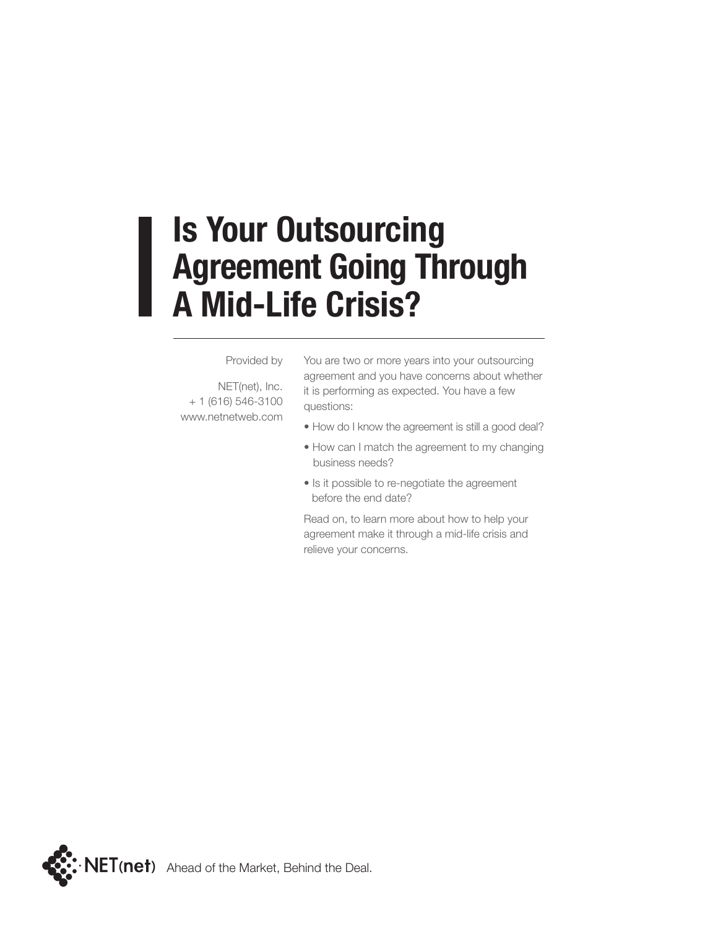### **Is Your Outsourcing Agreement Going Through A Mid-Life Crisis?**

#### Provided by

NET(net), Inc. + 1 (616) 546-3100 www.netnetweb.com You are two or more years into your outsourcing agreement and you have concerns about whether it is performing as expected. You have a few questions:

- How do I know the agreement is still a good deal?
- How can I match the agreement to my changing business needs?
- Is it possible to re-negotiate the agreement before the end date?

Read on, to learn more about how to help your agreement make it through a mid-life crisis and relieve your concerns.

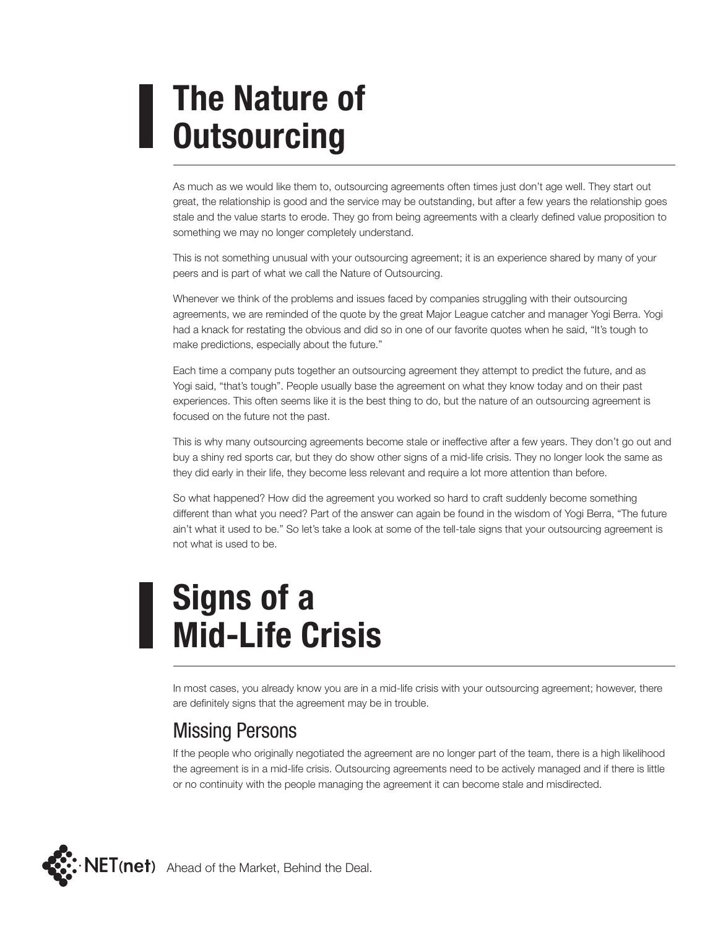# **The Nature of Outsourcing**

As much as we would like them to, outsourcing agreements often times just don't age well. They start out great, the relationship is good and the service may be outstanding, but after a few years the relationship goes stale and the value starts to erode. They go from being agreements with a clearly defined value proposition to something we may no longer completely understand.

This is not something unusual with your outsourcing agreement; it is an experience shared by many of your peers and is part of what we call the Nature of Outsourcing.

Whenever we think of the problems and issues faced by companies struggling with their outsourcing agreements, we are reminded of the quote by the great Major League catcher and manager Yogi Berra. Yogi had a knack for restating the obvious and did so in one of our favorite quotes when he said, "It's tough to make predictions, especially about the future."

Each time a company puts together an outsourcing agreement they attempt to predict the future, and as Yogi said, "that's tough". People usually base the agreement on what they know today and on their past experiences. This often seems like it is the best thing to do, but the nature of an outsourcing agreement is focused on the future not the past.

This is why many outsourcing agreements become stale or ineffective after a few years. They don't go out and buy a shiny red sports car, but they do show other signs of a mid-life crisis. They no longer look the same as they did early in their life, they become less relevant and require a lot more attention than before.

So what happened? How did the agreement you worked so hard to craft suddenly become something different than what you need? Part of the answer can again be found in the wisdom of Yogi Berra, "The future ain't what it used to be." So let's take a look at some of the tell-tale signs that your outsourcing agreement is not what is used to be.

# **Signs of a Mid-Life Crisis**

In most cases, you already know you are in a mid-life crisis with your outsourcing agreement; however, there are definitely signs that the agreement may be in trouble.

#### Missing Persons

If the people who originally negotiated the agreement are no longer part of the team, there is a high likelihood the agreement is in a mid-life crisis. Outsourcing agreements need to be actively managed and if there is little or no continuity with the people managing the agreement it can become stale and misdirected.

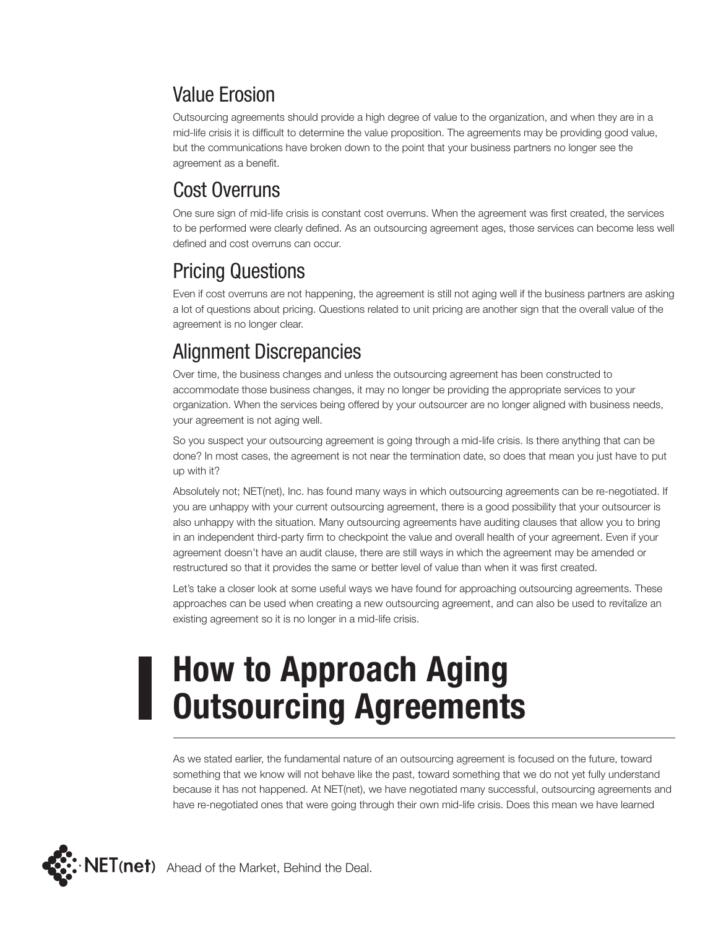#### Value Erosion

Outsourcing agreements should provide a high degree of value to the organization, and when they are in a mid-life crisis it is difficult to determine the value proposition. The agreements may be providing good value, but the communications have broken down to the point that your business partners no longer see the agreement as a benefit.

### Cost Overruns

One sure sign of mid-life crisis is constant cost overruns. When the agreement was first created, the services to be performed were clearly defined. As an outsourcing agreement ages, those services can become less well defined and cost overruns can occur.

### Pricing Questions

Even if cost overruns are not happening, the agreement is still not aging well if the business partners are asking a lot of questions about pricing. Questions related to unit pricing are another sign that the overall value of the agreement is no longer clear.

#### Alignment Discrepancies

Over time, the business changes and unless the outsourcing agreement has been constructed to accommodate those business changes, it may no longer be providing the appropriate services to your organization. When the services being offered by your outsourcer are no longer aligned with business needs, your agreement is not aging well.

So you suspect your outsourcing agreement is going through a mid-life crisis. Is there anything that can be done? In most cases, the agreement is not near the termination date, so does that mean you just have to put up with it?

Absolutely not; NET(net), Inc. has found many ways in which outsourcing agreements can be re-negotiated. If you are unhappy with your current outsourcing agreement, there is a good possibility that your outsourcer is also unhappy with the situation. Many outsourcing agreements have auditing clauses that allow you to bring in an independent third-party firm to checkpoint the value and overall health of your agreement. Even if your agreement doesn't have an audit clause, there are still ways in which the agreement may be amended or restructured so that it provides the same or better level of value than when it was first created.

Let's take a closer look at some useful ways we have found for approaching outsourcing agreements. These approaches can be used when creating a new outsourcing agreement, and can also be used to revitalize an existing agreement so it is no longer in a mid-life crisis.

# **How to Approach Aging Outsourcing Agreements**

As we stated earlier, the fundamental nature of an outsourcing agreement is focused on the future, toward something that we know will not behave like the past, toward something that we do not yet fully understand because it has not happened. At NET(net), we have negotiated many successful, outsourcing agreements and have re-negotiated ones that were going through their own mid-life crisis. Does this mean we have learned

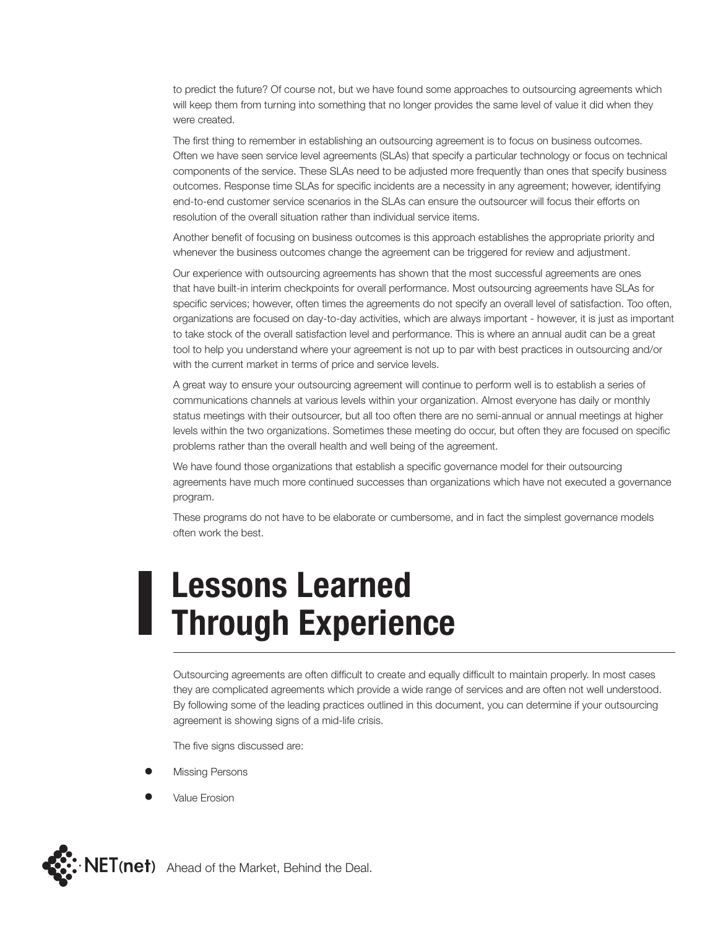to predict the future? Of course not, but we have found some approaches to outsourcing agreements which will keep them from turning into something that no longer provides the same level of value it did when they were created.

The first thing to remember in establishing an outsourcing agreement is to focus on business outcomes. Often we have seen service level agreements (SLAs) that specify a particular technology or focus on technical components of the service. These SLAs need to be adjusted more frequently than ones that specify business outcomes. Response time SLAs for specific incidents are a necessity in any agreement; however, identifying end-to-end customer service scenarios in the SLAs can ensure the outsourcer will focus their efforts on resolution of the overall situation rather than individual service items.

Another benefit of focusing on business outcomes is this approach establishes the appropriate priority and whenever the business outcomes change the agreement can be triggered for review and adjustment.

Our experience with outsourcing agreements has shown that the most successful agreements are ones that have built-in interim checkpoints for overall performance. Most outsourcing agreements have SLAs for specific services; however, often times the agreements do not specify an overall level of satisfaction. Too often, organizations are focused on day-to-day activities, which are always important - however, it is just as important to take stock of the overall satisfaction level and performance. This is where an annual audit can be a great tool to help you understand where your agreement is not up to par with best practices in outsourcing and/or with the current market in terms of price and service levels.

A great way to ensure your outsourcing agreement will continue to perform well is to establish a series of communications channels at various levels within your organization. Almost everyone has daily or monthly status meetings with their outsourcer, but all too often there are no semi-annual or annual meetings at higher levels within the two organizations. Sometimes these meeting do occur, but often they are focused on specific problems rather than the overall health and well being of the agreement.

We have found those organizations that establish a specific governance model for their outsourcing agreements have much more continued successes than organizations which have not executed a governance program.

These programs do not have to be elaborate or cumbersome, and in fact the simplest governance models often work the best.

### **Lessons Learned Through Experience**

Outsourcing agreements are often difficult to create and equally difficult to maintain properly. In most cases they are complicated agreements which provide a wide range of services and are often not well understood. By following some of the leading practices outlined in this document, you can determine if your outsourcing agreement is showing signs of a mid-life crisis.

The five signs discussed are:

- **Missing Persons**
- **Value Erosion**